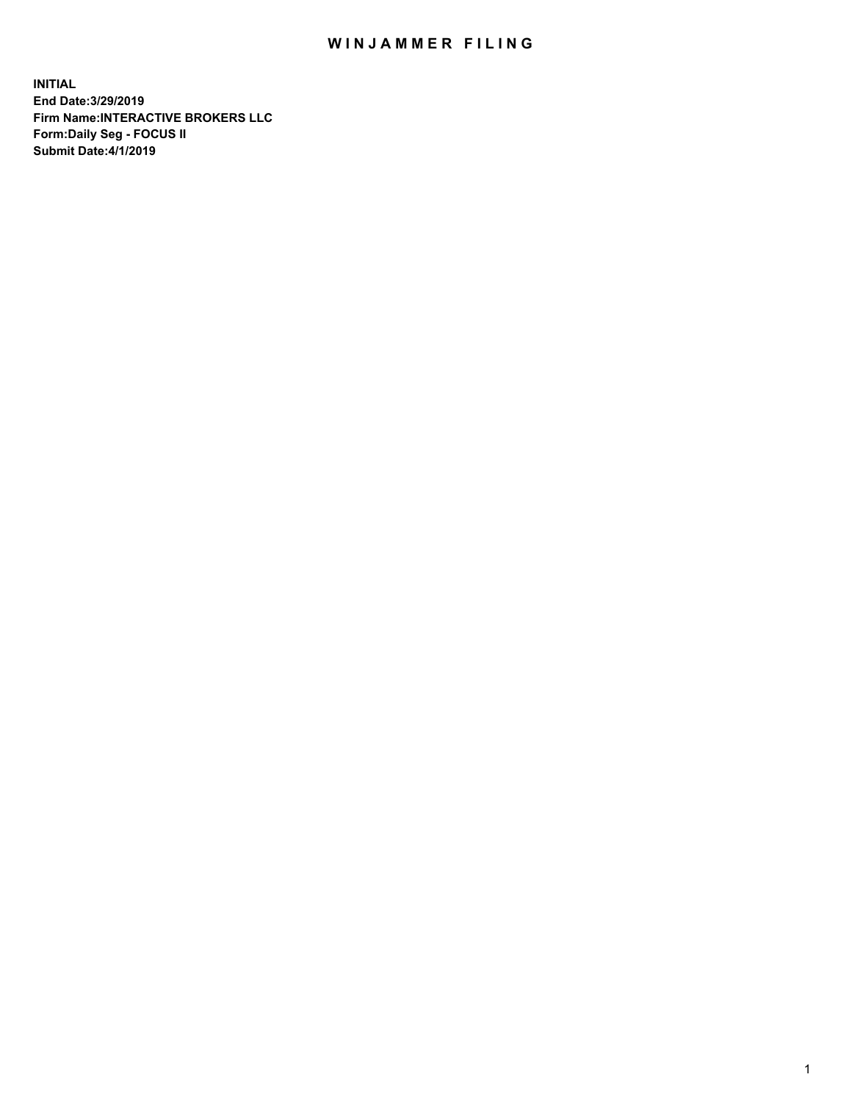## WIN JAMMER FILING

**INITIAL End Date:3/29/2019 Firm Name:INTERACTIVE BROKERS LLC Form:Daily Seg - FOCUS II Submit Date:4/1/2019**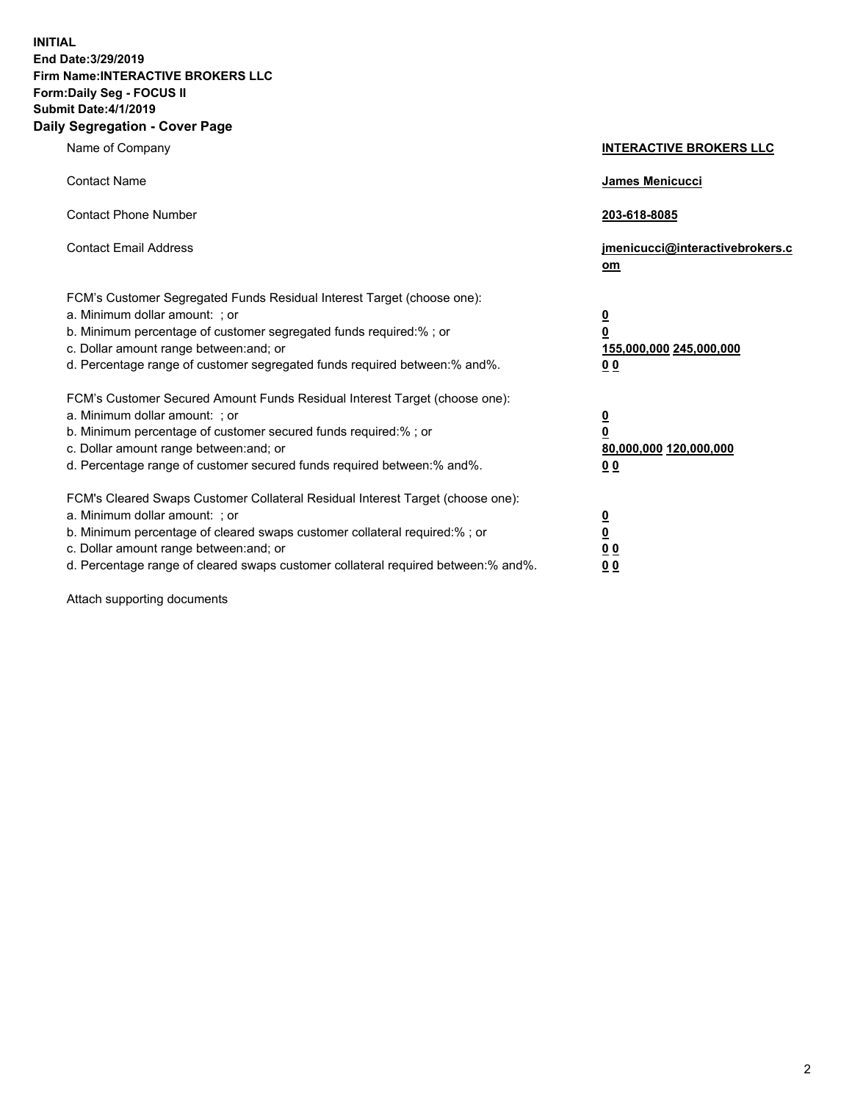**INITIAL End Date:3/29/2019 Firm Name:INTERACTIVE BROKERS LLC Form:Daily Seg - FOCUS II Submit Date:4/1/2019 Daily Segregation - Cover Page**

| Name of Company                                                                                                                                                                                                                                                                                                                | <b>INTERACTIVE BROKERS LLC</b>                                                                  |
|--------------------------------------------------------------------------------------------------------------------------------------------------------------------------------------------------------------------------------------------------------------------------------------------------------------------------------|-------------------------------------------------------------------------------------------------|
| <b>Contact Name</b>                                                                                                                                                                                                                                                                                                            | <b>James Menicucci</b>                                                                          |
| <b>Contact Phone Number</b>                                                                                                                                                                                                                                                                                                    | 203-618-8085                                                                                    |
| <b>Contact Email Address</b>                                                                                                                                                                                                                                                                                                   | jmenicucci@interactivebrokers.c<br>om                                                           |
| FCM's Customer Segregated Funds Residual Interest Target (choose one):<br>a. Minimum dollar amount: ; or<br>b. Minimum percentage of customer segregated funds required:% ; or<br>c. Dollar amount range between: and; or<br>d. Percentage range of customer segregated funds required between:% and%.                         | $\overline{\mathbf{0}}$<br>$\overline{\mathbf{0}}$<br>155,000,000 245,000,000<br>0 <sub>0</sub> |
| FCM's Customer Secured Amount Funds Residual Interest Target (choose one):<br>a. Minimum dollar amount: ; or<br>b. Minimum percentage of customer secured funds required:%; or<br>c. Dollar amount range between: and; or<br>d. Percentage range of customer secured funds required between:% and%.                            | $\overline{\mathbf{0}}$<br>$\overline{\mathbf{0}}$<br>80,000,000 120,000,000<br>0 <sub>0</sub>  |
| FCM's Cleared Swaps Customer Collateral Residual Interest Target (choose one):<br>a. Minimum dollar amount: ; or<br>b. Minimum percentage of cleared swaps customer collateral required:% ; or<br>c. Dollar amount range between: and; or<br>d. Percentage range of cleared swaps customer collateral required between:% and%. | $\overline{\mathbf{0}}$<br>$\overline{\mathbf{0}}$<br>0 <sub>0</sub><br>0 <sub>0</sub>          |

Attach supporting documents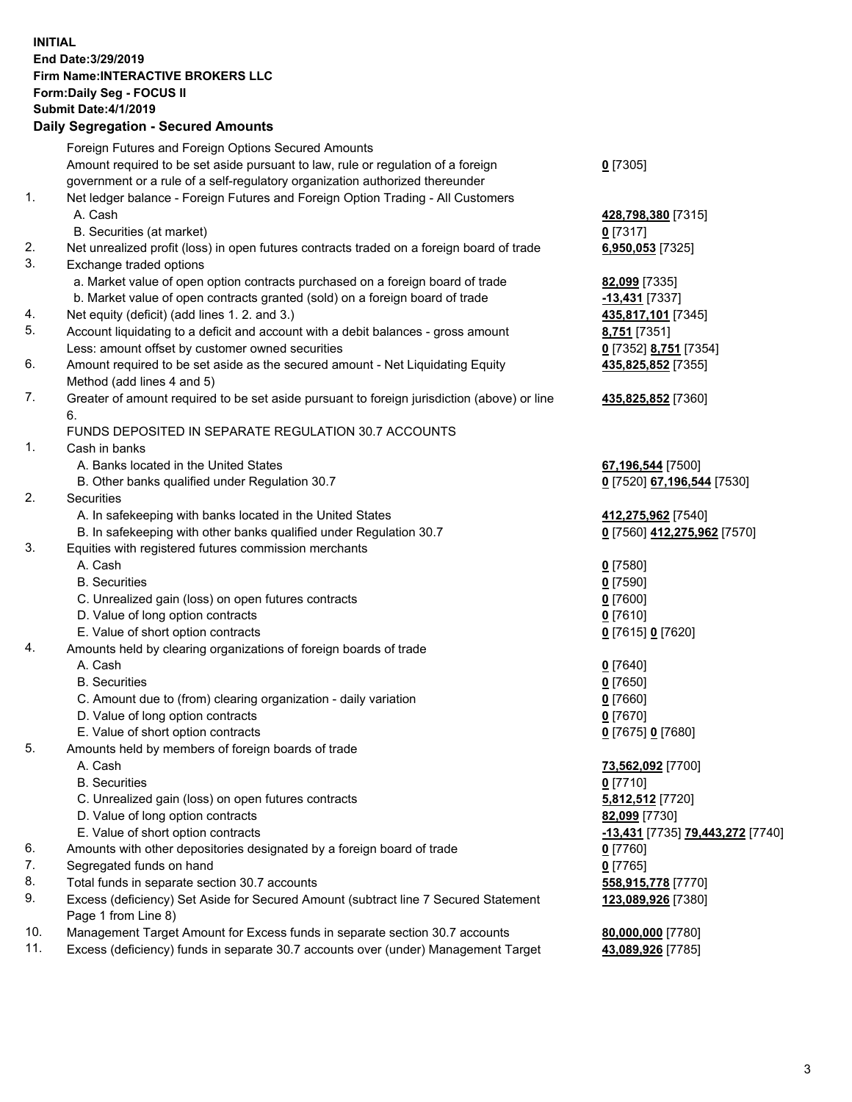## **INITIAL End Date:3/29/2019 Firm Name:INTERACTIVE BROKERS LLC Form:Daily Seg - FOCUS II Submit Date:4/1/2019 Daily Segregation - Secured Amounts**

|     | Foreign Futures and Foreign Options Secured Amounts                                                        |                                                 |
|-----|------------------------------------------------------------------------------------------------------------|-------------------------------------------------|
|     | Amount required to be set aside pursuant to law, rule or regulation of a foreign                           | $0$ [7305]                                      |
|     | government or a rule of a self-regulatory organization authorized thereunder                               |                                                 |
| 1.  | Net ledger balance - Foreign Futures and Foreign Option Trading - All Customers                            |                                                 |
|     | A. Cash                                                                                                    | 428,798,380 [7315]                              |
|     | B. Securities (at market)                                                                                  | $0$ [7317]                                      |
| 2.  | Net unrealized profit (loss) in open futures contracts traded on a foreign board of trade                  | 6,950,053 [7325]                                |
| 3.  | Exchange traded options                                                                                    |                                                 |
|     | a. Market value of open option contracts purchased on a foreign board of trade                             | 82,099 [7335]                                   |
|     | b. Market value of open contracts granted (sold) on a foreign board of trade                               | -13,431 [7337]                                  |
| 4.  | Net equity (deficit) (add lines 1.2. and 3.)                                                               | 435,817,101 [7345]                              |
| 5.  | Account liquidating to a deficit and account with a debit balances - gross amount                          | 8,751 [7351]                                    |
|     | Less: amount offset by customer owned securities                                                           | 0 [7352] 8,751 [7354]                           |
| 6.  | Amount required to be set aside as the secured amount - Net Liquidating Equity                             | 435,825,852 [7355]                              |
| 7.  | Method (add lines 4 and 5)                                                                                 |                                                 |
|     | Greater of amount required to be set aside pursuant to foreign jurisdiction (above) or line                | 435,825,852 [7360]                              |
|     | 6.<br>FUNDS DEPOSITED IN SEPARATE REGULATION 30.7 ACCOUNTS                                                 |                                                 |
| 1.  | Cash in banks                                                                                              |                                                 |
|     | A. Banks located in the United States                                                                      |                                                 |
|     | B. Other banks qualified under Regulation 30.7                                                             | 67,196,544 [7500]<br>0 [7520] 67,196,544 [7530] |
| 2.  | Securities                                                                                                 |                                                 |
|     | A. In safekeeping with banks located in the United States                                                  | 412,275,962 [7540]                              |
|     | B. In safekeeping with other banks qualified under Regulation 30.7                                         | 0 [7560] 412,275,962 [7570]                     |
| 3.  | Equities with registered futures commission merchants                                                      |                                                 |
|     | A. Cash                                                                                                    | $0$ [7580]                                      |
|     | <b>B.</b> Securities                                                                                       | $0$ [7590]                                      |
|     | C. Unrealized gain (loss) on open futures contracts                                                        | $0$ [7600]                                      |
|     | D. Value of long option contracts                                                                          | 0 [7610]                                        |
|     | E. Value of short option contracts                                                                         | 0 [7615] 0 [7620]                               |
| 4.  | Amounts held by clearing organizations of foreign boards of trade                                          |                                                 |
|     | A. Cash                                                                                                    | $0$ [7640]                                      |
|     | <b>B.</b> Securities                                                                                       | $0$ [7650]                                      |
|     | C. Amount due to (from) clearing organization - daily variation                                            | $0$ [7660]                                      |
|     | D. Value of long option contracts                                                                          | $0$ [7670]                                      |
|     | E. Value of short option contracts                                                                         | 0 [7675] 0 [7680]                               |
| 5.  | Amounts held by members of foreign boards of trade                                                         |                                                 |
|     | A. Cash                                                                                                    | 73,562,092 [7700]                               |
|     | <b>B.</b> Securities                                                                                       | $0$ [7710]                                      |
|     | C. Unrealized gain (loss) on open futures contracts                                                        | 5,812,512 [7720]                                |
|     | D. Value of long option contracts                                                                          | 82,099 [7730]                                   |
|     | E. Value of short option contracts                                                                         | <u>-13,431</u> [7735] <u>79,443,272</u> [7740]  |
| 6.  | Amounts with other depositories designated by a foreign board of trade                                     | 0 [7760]                                        |
| 7.  | Segregated funds on hand                                                                                   | $0$ [7765]                                      |
| 8.  | Total funds in separate section 30.7 accounts                                                              | 558,915,778 [7770]                              |
| 9.  | Excess (deficiency) Set Aside for Secured Amount (subtract line 7 Secured Statement<br>Page 1 from Line 8) | 123,089,926 [7380]                              |
| 10. | Management Target Amount for Excess funds in separate section 30.7 accounts                                | 80,000,000 [7780]                               |
| 11. | Excess (deficiency) funds in separate 30.7 accounts over (under) Management Target                         | 43,089,926 [7785]                               |
|     |                                                                                                            |                                                 |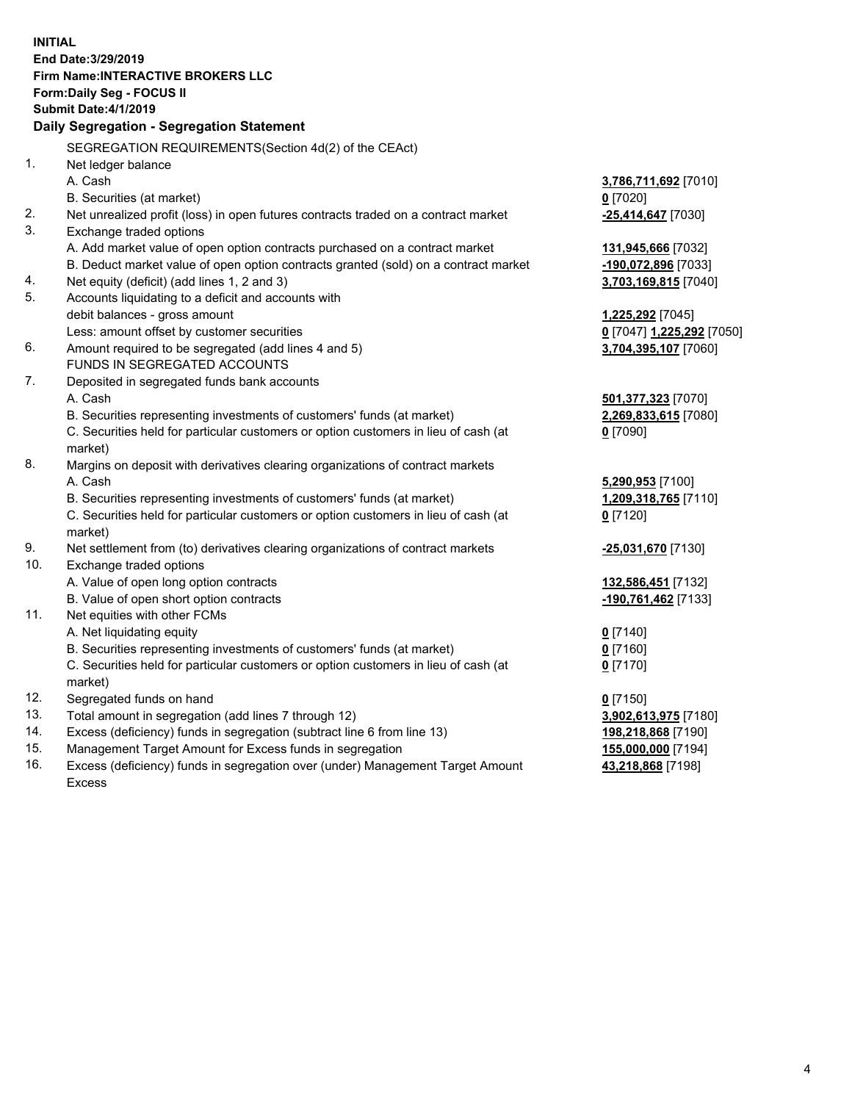**INITIAL End Date:3/29/2019 Firm Name:INTERACTIVE BROKERS LLC Form:Daily Seg - FOCUS II Submit Date:4/1/2019 Daily Segregation - Segregation Statement** SEGREGATION REQUIREMENTS(Section 4d(2) of the CEAct) 1. Net ledger balance A. Cash **3,786,711,692** [7010] B. Securities (at market) **0** [7020] 2. Net unrealized profit (loss) in open futures contracts traded on a contract market **-25,414,647** [7030] 3. Exchange traded options A. Add market value of open option contracts purchased on a contract market **131,945,666** [7032] B. Deduct market value of open option contracts granted (sold) on a contract market **-190,072,896** [7033] 4. Net equity (deficit) (add lines 1, 2 and 3) **3,703,169,815** [7040] 5. Accounts liquidating to a deficit and accounts with debit balances - gross amount **1,225,292** [7045] Less: amount offset by customer securities **0** [7047] **1,225,292** [7050] 6. Amount required to be segregated (add lines 4 and 5) **3,704,395,107** [7060] FUNDS IN SEGREGATED ACCOUNTS 7. Deposited in segregated funds bank accounts A. Cash **501,377,323** [7070] B. Securities representing investments of customers' funds (at market) **2,269,833,615** [7080] C. Securities held for particular customers or option customers in lieu of cash (at market) **0** [7090] 8. Margins on deposit with derivatives clearing organizations of contract markets A. Cash **5,290,953** [7100] B. Securities representing investments of customers' funds (at market) **1,209,318,765** [7110] C. Securities held for particular customers or option customers in lieu of cash (at market) **0** [7120] 9. Net settlement from (to) derivatives clearing organizations of contract markets **-25,031,670** [7130] 10. Exchange traded options A. Value of open long option contracts **132,586,451** [7132] B. Value of open short option contracts **-190,761,462** [7133] 11. Net equities with other FCMs A. Net liquidating equity **0** [7140] B. Securities representing investments of customers' funds (at market) **0** [7160] C. Securities held for particular customers or option customers in lieu of cash (at market) **0** [7170] 12. Segregated funds on hand **0** [7150] 13. Total amount in segregation (add lines 7 through 12) **3,902,613,975** [7180] 14. Excess (deficiency) funds in segregation (subtract line 6 from line 13) **198,218,868** [7190] 15. Management Target Amount for Excess funds in segregation **155,000,000** [7194] 16. Excess (deficiency) funds in segregation over (under) Management Target Amount **43,218,868** [7198]

Excess